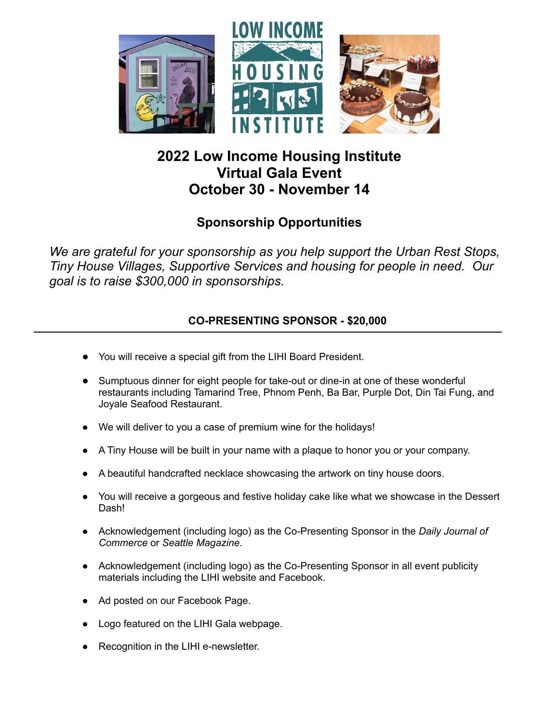

# **2022 Low Income Housing Institute Virtual Gala Event October 30 - November 14**

## **Sponsorship Opportunities**

*We are grateful for your sponsorship as you help support the Urban Rest Stops, Tiny House Villages, Supportive Services and housing for people in need. Our goal is to raise \$300,000 in sponsorships.*

### **CO-PRESENTING SPONSOR - \$20,000**

- You will receive a special gift from the LIHI Board President.
- Sumptuous dinner for eight people for take-out or dine-in at one of these wonderful restaurants including Tamarind Tree, Phnom Penh, Ba Bar, Purple Dot, Din Tai Fung, and Joyale Seafood Restaurant.
- We will deliver to you a case of premium wine for the holidays!
- A Tiny House will be built in your name with a plaque to honor you or your company.
- A beautiful handcrafted necklace showcasing the artwork on tiny house doors.
- You will receive a gorgeous and festive holiday cake like what we showcase in the Dessert Dash!
- Acknowledgement (including logo) as the Co-Presenting Sponsor in the *Daily Journal of Commerce* or *Seattle Magazine.*
- Acknowledgement (including logo) as the Co-Presenting Sponsor in all event publicity materials including the LIHI website and Facebook.
- Ad posted on our Facebook Page.
- Logo featured on the LIHI Gala webpage.
- **●** Recognition in the LIHI e-newsletter.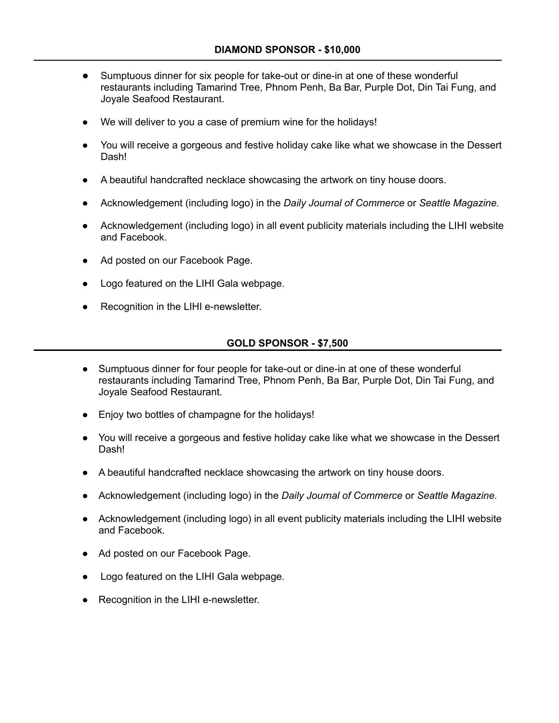- Sumptuous dinner for six people for take-out or dine-in at one of these wonderful restaurants including Tamarind Tree, Phnom Penh, Ba Bar, Purple Dot, Din Tai Fung, and Joyale Seafood Restaurant.
- We will deliver to you a case of premium wine for the holidays!
- You will receive a gorgeous and festive holiday cake like what we showcase in the Dessert Dash!
- A beautiful handcrafted necklace showcasing the artwork on tiny house doors.
- Acknowledgement (including logo) in the *Daily Journal of Commerce* or *Seattle Magazine.*
- Acknowledgement (including logo) in all event publicity materials including the LIHI website and Facebook.
- Ad posted on our Facebook Page.
- Logo featured on the LIHI Gala webpage.
- Recognition in the LIHI e-newsletter.

#### **GOLD SPONSOR - \$7,500**

- Sumptuous dinner for four people for take-out or dine-in at one of these wonderful restaurants including Tamarind Tree, Phnom Penh, Ba Bar, Purple Dot, Din Tai Fung, and Joyale Seafood Restaurant.
- Enjoy two bottles of champagne for the holidays!
- You will receive a gorgeous and festive holiday cake like what we showcase in the Dessert Dash!
- A beautiful handcrafted necklace showcasing the artwork on tiny house doors.
- Acknowledgement (including logo) in the *Daily Journal of Commerce* or *Seattle Magazine.*
- Acknowledgement (including logo) in all event publicity materials including the LIHI website and Facebook.
- Ad posted on our Facebook Page.
- Logo featured on the LIHI Gala webpage.
- Recognition in the LIHI e-newsletter.